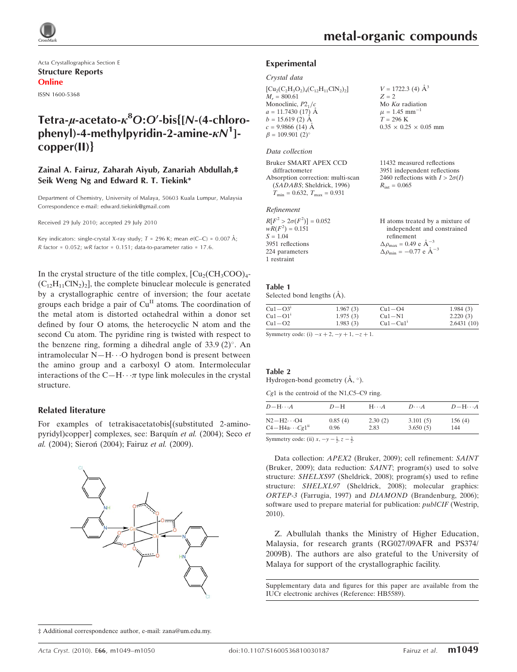

Acta Crystallographica Section E Structure Reports Online

ISSN 1600-5368

## Tetra-µ-acetato- $\kappa^8$ O:O'-bis{[N-(4-chlorophenyl)-4-methylpyridin-2-amine- $\kappa N^1$ ]copper(II)}

#### Zainal A. Fairuz, Zaharah Aiyub, Zanariah Abdullah,‡ Seik Weng Ng and Edward R. T. Tiekink\*

Department of Chemistry, University of Malaya, 50603 Kuala Lumpur, Malaysia Correspondence e-mail: edward.tiekink@gmail.com

Received 29 July 2010; accepted 29 July 2010

Key indicators: single-crystal X-ray study;  $T = 296$  K; mean  $\sigma$ (C–C) = 0.007 Å; R factor =  $0.052$ ; wR factor =  $0.151$ ; data-to-parameter ratio =  $17.6$ .

In the crystal structure of the title complex,  $\text{[Cu}_2(\text{CH}_3\text{COO})_4$ - $(C_{12}H_{11}CN_2)$ , the complete binuclear molecule is generated by a crystallographic centre of inversion; the four acetate groups each bridge a pair of  $Cu<sup>H</sup>$  atoms. The coordination of the metal atom is distorted octahedral within a donor set defined by four O atoms, the heterocyclic N atom and the second Cu atom. The pyridine ring is twisted with respect to the benzene ring, forming a dihedral angle of  $33.9$  (2)°. An intramolecular  $N-H\cdots O$  hydrogen bond is present between the amino group and a carboxyl O atom. Intermolecular interactions of the C-H $\cdots$  type link molecules in the crystal structure.

#### Related literature

For examples of tetrakisacetatobis[(substituted 2-aminopyridyl)copper] complexes, see: Barquín et al. (2004); Seco et al. (2004); Sieroń (2004); Fairuz et al. (2009).



#### ‡ Additional correspondence author, e-mail: zana@um.edu.my.

 $V = 1722.3$  (4)  $\AA^3$ 

 $0.35 \times 0.25 \times 0.05$  mm

11432 measured reflections 3951 independent reflections 2460 reflections with  $I > 2\sigma(I)$ 

 $Z = 2$ Mo  $K\alpha$  radiation  $\mu = 1.45$  mm<sup>-1</sup>  $T = 296 K$ 

 $R_{\text{int}} = 0.065$ 

#### Experimental

#### Crystal data

 $[Cu_2(C_2H_3O_2)_4(C_{12}H_{11}ClN_2)_2]$  $M_r = 800.61$ Monoclinic,  $P2<sub>1</sub>/c$  $a = 11.7430(17)$  Å  $b = 15.619(2)$  Å  $c = 9.9866(14)$  Å  $\beta = 109.901$  (2)<sup>o</sup>

#### Data collection

Bruker SMART APEX CCD diffractometer Absorption correction: multi-scan (SADABS; Sheldrick, 1996)  $T_{\text{min}} = 0.632, T_{\text{max}} = 0.931$ 

#### Refinement

| $R[F^2 > 2\sigma(F^2)] = 0.052$ | H atoms treated by a mixture of                    |
|---------------------------------|----------------------------------------------------|
| $wR(F^2) = 0.151$               | independent and constrained                        |
| $S = 1.04$                      | refinement                                         |
| 3951 reflections                | $\Delta \rho_{\text{max}} = 0.49 \text{ e A}^{-3}$ |
| 224 parameters                  | $\Delta \rho_{\text{min}} = -0.77$ e $\AA^{-3}$    |
| 1 restraint                     |                                                    |

## Table 1

Selected bond lengths  $(A)$ .

| $Cu1-O31$ | 1.967(3) | $Cu1-O4$     | 1.984(3)   |
|-----------|----------|--------------|------------|
| $Cu1-O11$ | 1.975(3) | $Cu1-N1$     | 2.220(3)   |
| $Cu1-O2$  | 1.983(3) | $Cu1 - Cu1'$ | 2.6431(10) |

Symmetry code: (i)  $-x + 2$ ,  $-y + 1$ ,  $-z + 1$ .

#### Table 2

 $\overline{a}$ 

Hydrogen-bond geometry  $(\AA, \degree)$ .

Cg1 is the centroid of the N1,C5–C9 ring.

| $D - H \cdots A$          | $D-H$   | $H \cdot \cdot \cdot A$ | $D\cdots A$ | $D - H \cdots A$ |
|---------------------------|---------|-------------------------|-------------|------------------|
| $N2-H2\cdots$ O4          | 0.85(4) | 2.30(2)                 | 3.101(5)    | 156(4)           |
| $C4 - H4a \cdots Cg1^{n}$ | 0.96    | 2.83                    | 3.650(5)    | 144              |

Symmetry code: (ii)  $x, -y - \frac{1}{2}, z - \frac{3}{2}$ .

Data collection: APEX2 (Bruker, 2009); cell refinement: SAINT (Bruker, 2009); data reduction: SAINT; program(s) used to solve structure: SHELXS97 (Sheldrick, 2008); program(s) used to refine structure: SHELXL97 (Sheldrick, 2008); molecular graphics: ORTEP-3 (Farrugia, 1997) and DIAMOND (Brandenburg, 2006); software used to prepare material for publication: publCIF (Westrip, 2010).

Z. Abullulah thanks the Ministry of Higher Education, Malaysia, for research grants (RG027/09AFR and PS374/ 2009B). The authors are also grateful to the University of Malaya for support of the crystallographic facility.

Supplementary data and figures for this paper are available from the IUCr electronic archives (Reference: HB5589).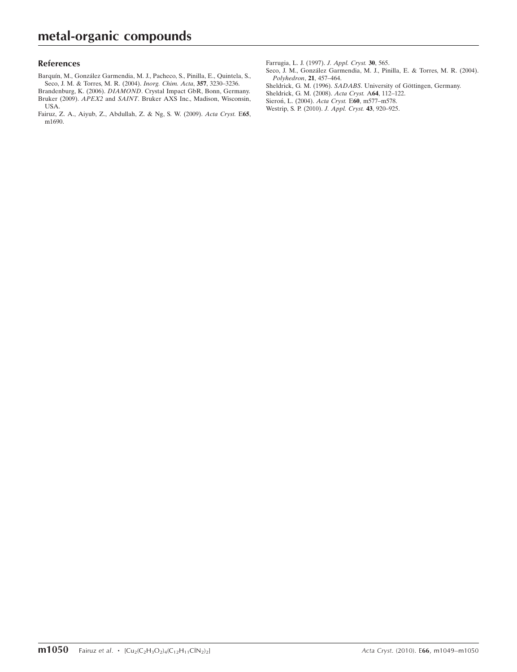#### References

- Barquín, M., González Garmendia, M. J., Pacheco, S., Pinilla, E., Quintela, S., [Seco, J. M. & Torres, M. R. \(2004\).](https://scripts.iucr.org/cgi-bin/cr.cgi?rm=pdfbb&cnor=hb5589&bbid=BB1) *Inorg. Chim. Acta*, **357**, 3230–3236.
- Brandenburg, K. (2006). DIAMOND[. Crystal Impact GbR, Bonn, Germany.](https://scripts.iucr.org/cgi-bin/cr.cgi?rm=pdfbb&cnor=hb5589&bbid=BB2) Bruker (2009). APEX2 and SAINT[. Bruker AXS Inc., Madison, Wisconsin,](https://scripts.iucr.org/cgi-bin/cr.cgi?rm=pdfbb&cnor=hb5589&bbid=BB3) [USA.](https://scripts.iucr.org/cgi-bin/cr.cgi?rm=pdfbb&cnor=hb5589&bbid=BB3)

[Fairuz, Z. A., Aiyub, Z., Abdullah, Z. & Ng, S. W. \(2009\).](https://scripts.iucr.org/cgi-bin/cr.cgi?rm=pdfbb&cnor=hb5589&bbid=BB4) Acta Cryst. E65, [m1690.](https://scripts.iucr.org/cgi-bin/cr.cgi?rm=pdfbb&cnor=hb5589&bbid=BB4)

[Farrugia, L. J. \(1997\).](https://scripts.iucr.org/cgi-bin/cr.cgi?rm=pdfbb&cnor=hb5589&bbid=BB5) J. Appl. Cryst. 30, 565.

- Seco, J. M., González Garmendia, M. J., Pinilla, E. & Torres, M. R. (2004). [Polyhedron](https://scripts.iucr.org/cgi-bin/cr.cgi?rm=pdfbb&cnor=hb5589&bbid=BB6), 21, 457–464.
- Sheldrick, G. M. (1996). SADABS. University of Göttingen, Germany.
- [Sheldrick, G. M. \(2008\).](https://scripts.iucr.org/cgi-bin/cr.cgi?rm=pdfbb&cnor=hb5589&bbid=BB8) Acta Cryst. A64, 112–122.
- Sieron, L. (2004). Acta Cryst. E60, m577-m578.
- [Westrip, S. P. \(2010\).](https://scripts.iucr.org/cgi-bin/cr.cgi?rm=pdfbb&cnor=hb5589&bbid=BB10) J. Appl. Cryst. 43, 920–925.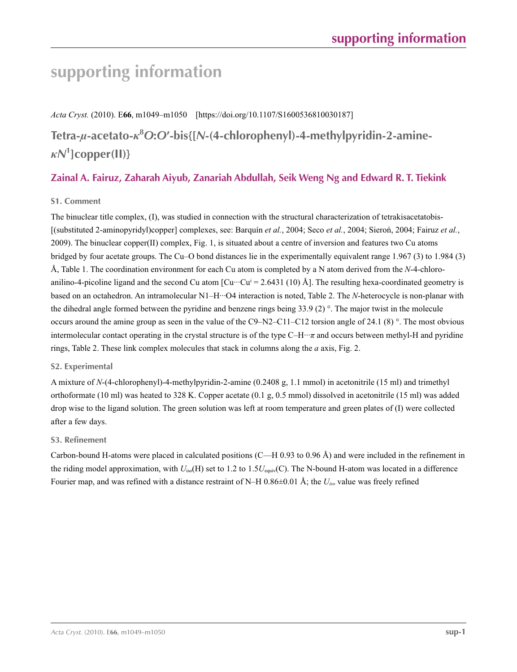## **supporting information**

*Acta Cryst.* (2010). E**66**, m1049–m1050 [https://doi.org/10.1107/S1600536810030187]

**Tetra-***µ***-acetato-***κ***<sup>8</sup>** *O***:***O***′-bis{[***N***-(4-chlorophenyl)-4-methylpyridin-2-amine***κN***<sup>1</sup> ]copper(II)}**

## **Zainal A. Fairuz, Zaharah Aiyub, Zanariah Abdullah, Seik Weng Ng and Edward R. T. Tiekink**

## **S1. Comment**

The binuclear title complex, (I), was studied in connection with the structural characterization of tetrakisacetatobis- [(substituted 2-aminopyridyl)copper] complexes, see: Barquín *et al.*, 2004; Seco *et al.*, 2004; Sieroń, 2004; Fairuz *et al.*, 2009). The binuclear copper(II) complex, Fig. 1, is situated about a centre of inversion and features two Cu atoms bridged by four acetate groups. The Cu–O bond distances lie in the experimentally equivalent range 1.967 (3) to 1.984 (3) Å, Table 1. The coordination environment for each Cu atom is completed by a N atom derived from the *N*-4-chloroanilino-4-picoline ligand and the second Cu atom  $\left[\text{Cu}\cdots\text{Cu}\right] = 2.6431\ (10)$  Å]. The resulting hexa-coordinated geometry is based on an octahedron. An intramolecular N1–H···O4 interaction is noted, Table 2. The *N*-heterocycle is non-planar with the dihedral angle formed between the pyridine and benzene rings being 33.9 (2) °. The major twist in the molecule occurs around the amine group as seen in the value of the C9–N2–C11–C12 torsion angle of 24.1 (8)  $^{\circ}$ . The most obvious intermolecular contact operating in the crystal structure is of the type C–H···*π* and occurs between methyl-H and pyridine rings, Table 2. These link complex molecules that stack in columns along the *a* axis, Fig. 2.

## **S2. Experimental**

A mixture of *N*-(4-chlorophenyl)-4-methylpyridin-2-amine (0.2408 g, 1.1 mmol) in acetonitrile (15 ml) and trimethyl orthoformate (10 ml) was heated to 328 K. Copper acetate (0.1 g, 0.5 mmol) dissolved in acetonitrile (15 ml) was added drop wise to the ligand solution. The green solution was left at room temperature and green plates of (I) were collected after a few days.

## **S3. Refinement**

Carbon-bound H-atoms were placed in calculated positions (C—H 0.93 to 0.96 Å) and were included in the refinement in the riding model approximation, with *U*iso(H) set to 1.2 to 1.5*U*equiv(C). The N-bound H-atom was located in a difference Fourier map, and was refined with a distance restraint of N–H 0.86±0.01 Å; the *Uiso* value was freely refined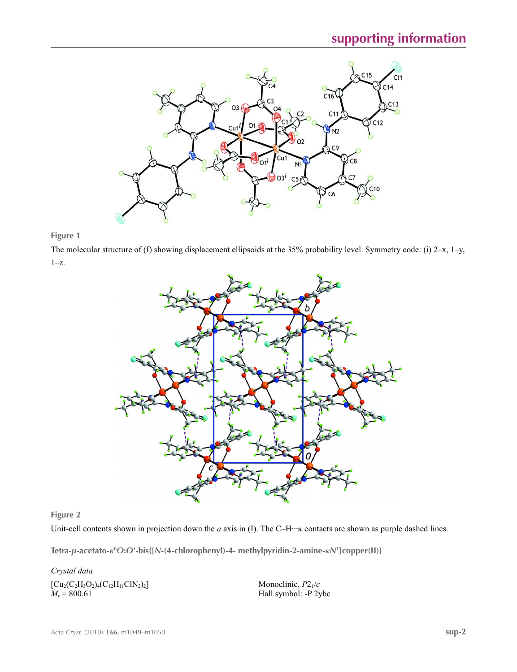

**Figure 1**

The molecular structure of (I) showing displacement ellipsoids at the 35% probability level. Symmetry code: (i) 2–x, 1–y,  $1-x$ .



**Figure 2**

Unit-cell contents shown in projection down the *a* axis in (I). The C–H···*π* contacts are shown as purple dashed lines.

**Tetra-***µ***-acetato-***κ***<sup>8</sup>** *O***:***O***′-bis{[***N***-(4-chlorophenyl)-4- methylpyridin-2-amine-***κN***<sup>1</sup> ]copper(II)}** 

*Crystal data*  $[Cu_2(C_2H_3O_2)_4(C_{12}H_{11}ClN_2)_2]$  $M_r = 800.61$ 

Monoclinic, *P*21/*c* Hall symbol: -P 2ybc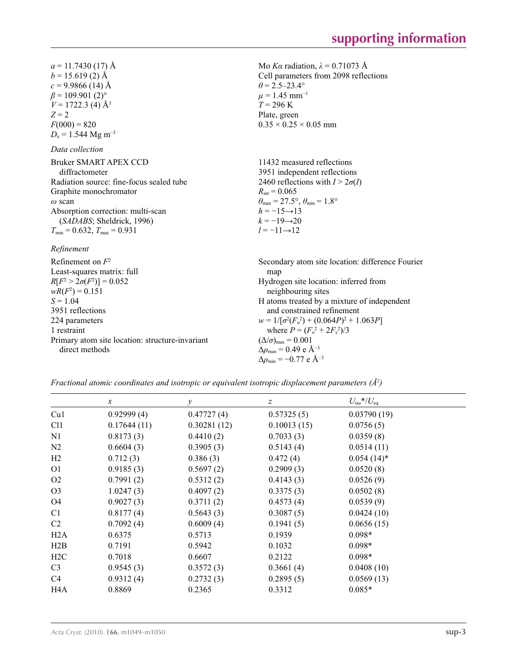Mo *Kα* radiation, *λ* = 0.71073 Å Cell parameters from 2098 reflections

 $\theta = 2.5 - 23.4^{\circ}$  $\mu = 1.45$  mm<sup>-1</sup>  $T = 296 \text{ K}$ Plate, green

 $0.35 \times 0.25 \times 0.05$  mm

 $a = 11.7430(17)$  Å  $b = 15.619(2)$  Å  $c = 9.9866$  (14) Å  $\beta$  = 109.901 (2)<sup>o</sup>  $V = 1722.3 \vec{ (4)} \hat{A}^3$  $Z = 2$  $F(000) = 820$  $D_x = 1.544 \text{ Mg m}^{-3}$ 

## *Data collection*

| Bruker SMART APEX CCD                               | 11432 measured reflections                                              |
|-----------------------------------------------------|-------------------------------------------------------------------------|
| diffractometer                                      | 3951 independent reflections                                            |
| Radiation source: fine-focus sealed tube            | 2460 reflections with $I > 2\sigma(I)$                                  |
| Graphite monochromator                              | $R_{\text{int}} = 0.065$                                                |
| $\omega$ scan                                       | $\theta_{\text{max}} = 27.5^{\circ}, \theta_{\text{min}} = 1.8^{\circ}$ |
| Absorption correction: multi-scan                   | $h = -15 \rightarrow 13$                                                |
| (SADABS; Sheldrick, 1996)                           | $k = -19 \rightarrow 20$                                                |
| $T_{\text{min}} = 0.632$ , $T_{\text{max}} = 0.931$ | $l = -11 \rightarrow 12$                                                |
|                                                     |                                                                         |

#### *Refinement*

| Refinement on $F^2$                             | Secondary atom site location: difference Fourier  |
|-------------------------------------------------|---------------------------------------------------|
| Least-squares matrix: full                      | map                                               |
| $R[F^2 > 2\sigma(F^2)] = 0.052$                 | Hydrogen site location: inferred from             |
| $wR(F^2) = 0.151$                               | neighbouring sites                                |
| $S = 1.04$                                      | H atoms treated by a mixture of independent       |
| 3951 reflections                                | and constrained refinement                        |
| 224 parameters                                  | $w = 1/[\sigma^2(F_0^2) + (0.064P)^2 + 1.063P]$   |
| 1 restraint                                     | where $P = (F_o^2 + 2F_c^2)/3$                    |
| Primary atom site location: structure-invariant | $(\Delta/\sigma)_{\text{max}} = 0.001$            |
| direct methods                                  | $\Delta\rho_{\text{max}} = 0.49 \text{ e A}^{-3}$ |
|                                                 | $\Delta \rho_{\rm min} = -0.77$ e Å <sup>-3</sup> |

*Fractional atomic coordinates and isotropic or equivalent isotropic displacement parameters (Å<sup>2</sup>)* 

|                 | $\mathcal{X}$ | $\mathcal{Y}$ | z           | $U_{\rm iso}$ */ $U_{\rm eq}$ |  |
|-----------------|---------------|---------------|-------------|-------------------------------|--|
| Cu1             | 0.92999(4)    | 0.47727(4)    | 0.57325(5)  | 0.03790(19)                   |  |
| C <sub>11</sub> | 0.17644(11)   | 0.30281(12)   | 0.10013(15) | 0.0756(5)                     |  |
| N1              | 0.8173(3)     | 0.4410(2)     | 0.7033(3)   | 0.0359(8)                     |  |
| N <sub>2</sub>  | 0.6604(3)     | 0.3905(3)     | 0.5143(4)   | 0.0514(11)                    |  |
| H2              | 0.712(3)      | 0.386(3)      | 0.472(4)    | $0.054(14)^*$                 |  |
| O <sub>1</sub>  | 0.9185(3)     | 0.5697(2)     | 0.2909(3)   | 0.0520(8)                     |  |
| O <sub>2</sub>  | 0.7991(2)     | 0.5312(2)     | 0.4143(3)   | 0.0526(9)                     |  |
| O <sub>3</sub>  | 1.0247(3)     | 0.4097(2)     | 0.3375(3)   | 0.0502(8)                     |  |
| O <sub>4</sub>  | 0.9027(3)     | 0.3711(2)     | 0.4573(4)   | 0.0539(9)                     |  |
| C <sub>1</sub>  | 0.8177(4)     | 0.5643(3)     | 0.3087(5)   | 0.0424(10)                    |  |
| C2              | 0.7092(4)     | 0.6009(4)     | 0.1941(5)   | 0.0656(15)                    |  |
| H2A             | 0.6375        | 0.5713        | 0.1939      | $0.098*$                      |  |
| H2B             | 0.7191        | 0.5942        | 0.1032      | $0.098*$                      |  |
| H2C             | 0.7018        | 0.6607        | 0.2122      | $0.098*$                      |  |
| C <sub>3</sub>  | 0.9545(3)     | 0.3572(3)     | 0.3661(4)   | 0.0408(10)                    |  |
| C4              | 0.9312(4)     | 0.2732(3)     | 0.2895(5)   | 0.0569(13)                    |  |
| H4A             | 0.8869        | 0.2365        | 0.3312      | $0.085*$                      |  |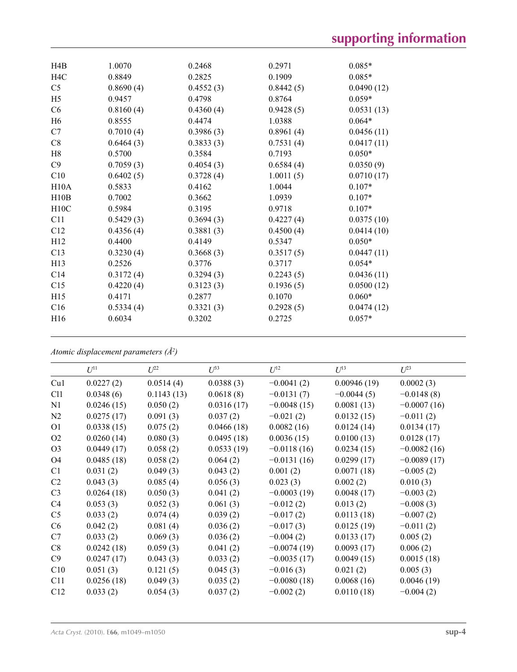| H4B              | 1.0070    | 0.2468    | 0.2971    | $0.085*$   |
|------------------|-----------|-----------|-----------|------------|
| H <sub>4</sub> C | 0.8849    | 0.2825    | 0.1909    | $0.085*$   |
| C <sub>5</sub>   | 0.8690(4) | 0.4552(3) | 0.8442(5) | 0.0490(12) |
| H <sub>5</sub>   | 0.9457    | 0.4798    | 0.8764    | $0.059*$   |
| C6               | 0.8160(4) | 0.4360(4) | 0.9428(5) | 0.0531(13) |
| H <sub>6</sub>   | 0.8555    | 0.4474    | 1.0388    | $0.064*$   |
| C7               | 0.7010(4) | 0.3986(3) | 0.8961(4) | 0.0456(11) |
| C8               | 0.6464(3) | 0.3833(3) | 0.7531(4) | 0.0417(11) |
| H8               | 0.5700    | 0.3584    | 0.7193    | $0.050*$   |
| C9               | 0.7059(3) | 0.4054(3) | 0.6584(4) | 0.0350(9)  |
| C10              | 0.6402(5) | 0.3728(4) | 1.0011(5) | 0.0710(17) |
| H10A             | 0.5833    | 0.4162    | 1.0044    | $0.107*$   |
| H10B             | 0.7002    | 0.3662    | 1.0939    | $0.107*$   |
| H10C             | 0.5984    | 0.3195    | 0.9718    | $0.107*$   |
| C11              | 0.5429(3) | 0.3694(3) | 0.4227(4) | 0.0375(10) |
| C12              | 0.4356(4) | 0.3881(3) | 0.4500(4) | 0.0414(10) |
| H12              | 0.4400    | 0.4149    | 0.5347    | $0.050*$   |
| C13              | 0.3230(4) | 0.3668(3) | 0.3517(5) | 0.0447(11) |
| H <sub>13</sub>  | 0.2526    | 0.3776    | 0.3717    | $0.054*$   |
| C <sub>14</sub>  | 0.3172(4) | 0.3294(3) | 0.2243(5) | 0.0436(11) |
| C15              | 0.4220(4) | 0.3123(3) | 0.1936(5) | 0.0500(12) |
| H15              | 0.4171    | 0.2877    | 0.1070    | $0.060*$   |
| C16              | 0.5334(4) | 0.3321(3) | 0.2928(5) | 0.0474(12) |
| H <sub>16</sub>  | 0.6034    | 0.3202    | 0.2725    | $0.057*$   |
|                  |           |           |           |            |

*Atomic displacement parameters (Å2 )*

|                | $U^{11}$   | $L^{22}$   | $U^{33}$   | $U^{12}$      | $U^{13}$     | $U^{23}$      |
|----------------|------------|------------|------------|---------------|--------------|---------------|
| Cu1            | 0.0227(2)  | 0.0514(4)  | 0.0388(3)  | $-0.0041(2)$  | 0.00946(19)  | 0.0002(3)     |
| C11            | 0.0348(6)  | 0.1143(13) | 0.0618(8)  | $-0.0131(7)$  | $-0.0044(5)$ | $-0.0148(8)$  |
| N1             | 0.0246(15) | 0.050(2)   | 0.0316(17) | $-0.0048(15)$ | 0.0081(13)   | $-0.0007(16)$ |
| N2             | 0.0275(17) | 0.091(3)   | 0.037(2)   | $-0.021(2)$   | 0.0132(15)   | $-0.011(2)$   |
| O <sub>1</sub> | 0.0338(15) | 0.075(2)   | 0.0466(18) | 0.0082(16)    | 0.0124(14)   | 0.0134(17)    |
| O <sub>2</sub> | 0.0260(14) | 0.080(3)   | 0.0495(18) | 0.0036(15)    | 0.0100(13)   | 0.0128(17)    |
| O <sub>3</sub> | 0.0449(17) | 0.058(2)   | 0.0533(19) | $-0.0118(16)$ | 0.0234(15)   | $-0.0082(16)$ |
| O <sub>4</sub> | 0.0485(18) | 0.058(2)   | 0.064(2)   | $-0.0131(16)$ | 0.0299(17)   | $-0.0089(17)$ |
| C1             | 0.031(2)   | 0.049(3)   | 0.043(2)   | 0.001(2)      | 0.0071(18)   | $-0.005(2)$   |
| C <sub>2</sub> | 0.043(3)   | 0.085(4)   | 0.056(3)   | 0.023(3)      | 0.002(2)     | 0.010(3)      |
| C <sub>3</sub> | 0.0264(18) | 0.050(3)   | 0.041(2)   | $-0.0003(19)$ | 0.0048(17)   | $-0.003(2)$   |
| C4             | 0.053(3)   | 0.052(3)   | 0.061(3)   | $-0.012(2)$   | 0.013(2)     | $-0.008(3)$   |
| C <sub>5</sub> | 0.033(2)   | 0.074(4)   | 0.039(2)   | $-0.017(2)$   | 0.0113(18)   | $-0.007(2)$   |
| C6             | 0.042(2)   | 0.081(4)   | 0.036(2)   | $-0.017(3)$   | 0.0125(19)   | $-0.011(2)$   |
| C7             | 0.033(2)   | 0.069(3)   | 0.036(2)   | $-0.004(2)$   | 0.0133(17)   | 0.005(2)      |
| C8             | 0.0242(18) | 0.059(3)   | 0.041(2)   | $-0.0074(19)$ | 0.0093(17)   | 0.006(2)      |
| C9             | 0.0247(17) | 0.043(3)   | 0.033(2)   | $-0.0035(17)$ | 0.0049(15)   | 0.0015(18)    |
| C10            | 0.051(3)   | 0.121(5)   | 0.045(3)   | $-0.016(3)$   | 0.021(2)     | 0.005(3)      |
| C11            | 0.0256(18) | 0.049(3)   | 0.035(2)   | $-0.0080(18)$ | 0.0068(16)   | 0.0046(19)    |
| C12            | 0.033(2)   | 0.054(3)   | 0.037(2)   | $-0.002(2)$   | 0.0110(18)   | $-0.004(2)$   |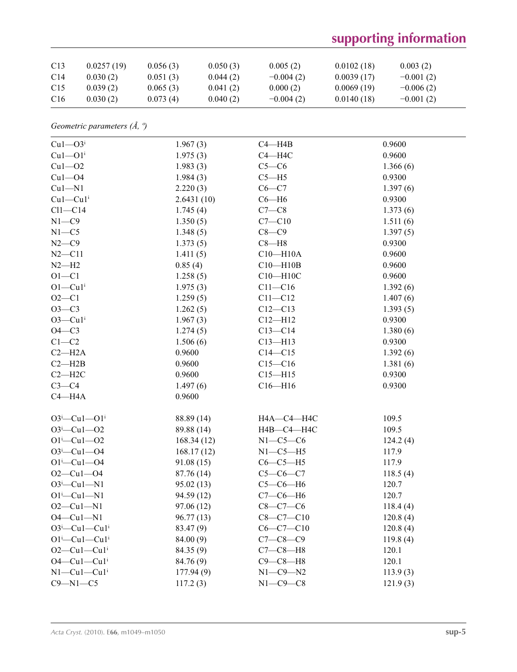# **supporting information**

| C <sub>13</sub> | 0.0257(19) | 0.056(3) | 0.050(3) | 0.005(2)    | 0.0102(18) | 0.003(2)    |
|-----------------|------------|----------|----------|-------------|------------|-------------|
| C <sub>14</sub> | 0.030(2)   | 0.051(3) | 0.044(2) | $-0.004(2)$ | 0.0039(17) | $-0.001(2)$ |
| C <sub>15</sub> | 0.039(2)   | 0.065(3) | 0.041(2) | 0.000(2)    | 0.0069(19) | $-0.006(2)$ |
| C <sub>16</sub> | 0.030(2)   | 0.073(4) | 0.040(2) | $-0.004(2)$ | 0.0140(18) | $-0.001(2)$ |

*Geometric parameters (Å, º)*

| $Cu1 - O3i$                       | 1.967(3)   | $C4 - H4B$      | 0.9600   |
|-----------------------------------|------------|-----------------|----------|
| $Cu1 - O1$ <sup>i</sup>           | 1.975(3)   | $C4 - H4C$      | 0.9600   |
| $Cu1 - O2$                        | 1.983(3)   | $C5-C6$         | 1.366(6) |
| $Cu1 - O4$                        | 1.984(3)   | $C5 - H5$       | 0.9300   |
| $Cu1 - N1$                        | 2.220(3)   | $C6 - C7$       | 1.397(6) |
| $Cu1-Cu1$ <sup>i</sup>            | 2.6431(10) | $C6 - H6$       | 0.9300   |
| $Cl1-C14$                         | 1.745(4)   | $C7-C8$         | 1.373(6) |
| $N1 - C9$                         | 1.350(5)   | $C7 - C10$      | 1.511(6) |
| $N1 - C5$                         | 1.348(5)   | $C8-C9$         | 1.397(5) |
| $N2-C9$                           | 1.373(5)   | $C8 - H8$       | 0.9300   |
| $N2 - C11$                        | 1.411(5)   | $C10 - H10A$    | 0.9600   |
| $N2-H2$                           | 0.85(4)    | $C10 - H10B$    | 0.9600   |
| $O1 - C1$                         | 1.258(5)   | $C10 - H10C$    | 0.9600   |
| $O1-Cu1$ <sup>i</sup>             | 1.975(3)   | $C11 - C16$     | 1.392(6) |
| $O2 - C1$                         | 1.259(5)   | $C11 - C12$     | 1.407(6) |
| $O3-C3$                           | 1.262(5)   | $C12 - C13$     | 1.393(5) |
| $O3$ — $Cu1i$                     | 1.967(3)   | $C12 - H12$     | 0.9300   |
| $O4-C3$                           | 1.274(5)   | $C13 - C14$     | 1.380(6) |
| $C1-C2$                           | 1.506(6)   | $C13 - H13$     | 0.9300   |
| $C2 - H2A$                        | 0.9600     | $C14 - C15$     | 1.392(6) |
| $C2 - H2B$                        | 0.9600     | $C15 - C16$     | 1.381(6) |
| $C2 - H2C$                        | 0.9600     | $C15 - H15$     | 0.9300   |
| $C3-C4$                           | 1.497(6)   | $C16 - H16$     | 0.9300   |
| $C4 - H4A$                        | 0.9600     |                 |          |
|                                   |            |                 |          |
| $O3^i$ -Cul- $O1^i$               | 88.89 (14) | H4A-C4-H4C      | 109.5    |
| $O3^i$ -Cul- $O2$                 | 89.88 (14) | Н4В-С4-Н4С      | 109.5    |
| $O1^{i}$ -Cu $1$ -O2              | 168.34(12) | $N1-C5-C6$      | 124.2(4) |
| $O3^i$ -Cul- $O4$                 | 168.17(12) | $N1-C5-H5$      | 117.9    |
| $O1^{i}$ -Cu $1$ -O4              | 91.08(15)  | $C6-C5-H5$      | 117.9    |
| $O2 - Cu1 - O4$                   | 87.76 (14) | $C5-C6-C7$      | 118.5(4) |
| $O3^i$ -Cul-Nl                    | 95.02(13)  | $C5-C6-H6$      | 120.7    |
| $O1^i$ -Cu $1$ -N1                | 94.59 (12) | $C7-C6-H6$      | 120.7    |
| $O2 - Cu1 - N1$                   | 97.06(12)  | $C8-C7-C6$      | 118.4(4) |
| $O4 - Cu1 - N1$                   | 96.77 (13) | $C8 - C7 - C10$ | 120.8(4) |
| $O3^i$ -Cul-Cul <sup>i</sup>      | 83.47 (9)  | $C6-C7-C10$     | 120.8(4) |
| $O1^i$ -Cu $1$ -Cu $1^i$          | 84.00 (9)  | $C7 - C8 - C9$  | 119.8(4) |
| $O2-Cu1-Cu1$ <sup>i</sup>         | 84.35 (9)  | $C7-C8-H8$      | 120.1    |
| $O4$ —Cu $1$ —Cu $1$ <sup>i</sup> | 84.76 (9)  | $C9-C8-H8$      | 120.1    |
| $N1-Cu1-Cu1$ <sup>i</sup>         | 177.94(9)  | $N1-C9-N2$      | 113.9(3) |
| $C9 - N1 - C5$                    | 117.2(3)   | $N1-C9-C8$      | 121.9(3) |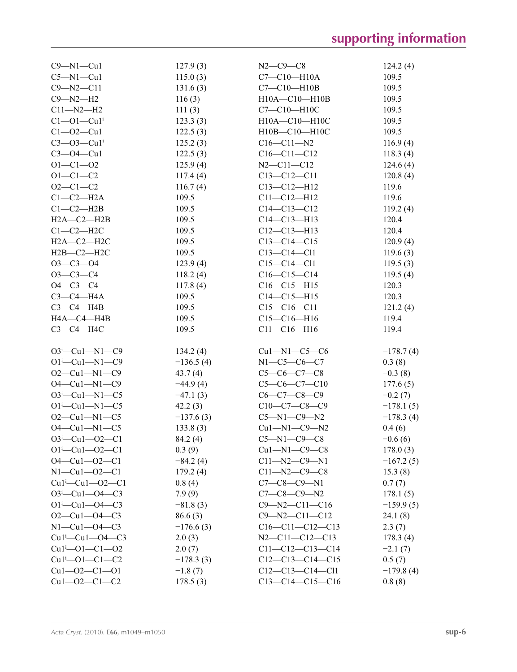| $C9 - N1 - Cu1$                                              | 127.9(3)    | $N2 - C9 - C8$        | 124.2(4)    |
|--------------------------------------------------------------|-------------|-----------------------|-------------|
| $C5-M1-Cu1$                                                  | 115.0(3)    | $C7-C10-H10A$         | 109.5       |
| $C9 - N2 - C11$                                              | 131.6(3)    | $C7 - C10 - H10B$     | 109.5       |
| $C9 - N2 - H2$                                               | 116(3)      | $H10A - C10 - H10B$   | 109.5       |
| $C11 - N2 - H2$                                              | 111(3)      | C7-C10-H10C           | 109.5       |
| $Cl$ -Ol -Cul <sup>i</sup>                                   | 123.3(3)    | $H10A - C10 - H10C$   | 109.5       |
| $Cl - O2 - Cu1$                                              |             | H10B-C10-H10C         | 109.5       |
|                                                              | 122.5(3)    |                       |             |
| $C3 - O3 - Cu1$                                              | 125.2(3)    | $C16 - C11 - N2$      | 116.9(4)    |
| $C3 - O4 - Cu1$                                              | 122.5(3)    | $C16 - C11 - C12$     | 118.3(4)    |
| $O1 - C1 - O2$                                               | 125.9(4)    | $N2 - C11 - C12$      | 124.6(4)    |
| $O1 - C1 - C2$                                               | 117.4(4)    | $C13 - C12 - C11$     | 120.8(4)    |
| $O2 - C1 - C2$                                               | 116.7(4)    | $C13 - C12 - H12$     | 119.6       |
| $C1-C2-H2A$                                                  | 109.5       | $C11 - C12 - H12$     | 119.6       |
| $C1-C2-H2B$                                                  | 109.5       | $C14 - C13 - C12$     | 119.2(4)    |
| $H2A-C2-H2B$                                                 | 109.5       | $C14 - C13 - H13$     | 120.4       |
| $C1-C2-H2C$                                                  | 109.5       | $C12-C13-H13$         | 120.4       |
| $H2A-C2-H2C$                                                 | 109.5       | $C13 - C14 - C15$     | 120.9(4)    |
| $H2B-C2-H2C$                                                 | 109.5       | $C13 - C14 - C11$     | 119.6(3)    |
| $O3 - C3 - O4$                                               | 123.9(4)    | $C15 - C14 - C11$     | 119.5(3)    |
| $O3-C3-C4$                                                   | 118.2(4)    | $C16-C15-C14$         | 119.5(4)    |
| $O4 - C3 - C4$                                               | 117.8(4)    | $C16 - C15 - H15$     | 120.3       |
| $C3-C4-H4A$                                                  | 109.5       | $C14 - C15 - H15$     | 120.3       |
| $C3-C4-H4B$                                                  |             | $C15-C16-C11$         |             |
|                                                              | 109.5       |                       | 121.2(4)    |
| HA—C4—H4B                                                    | 109.5       | $C15-C16-H16$         | 119.4       |
| $C3-C4-H4C$                                                  | 109.5       | $C11 - C16 - H16$     | 119.4       |
|                                                              |             |                       |             |
| $O3^i$ -Cu1-N1-C9                                            | 134.2(4)    | $Cu1 - N1 - C5 - C6$  | $-178.7(4)$ |
| $O1^{i}$ -Cu1-N1-C9                                          | $-136.5(4)$ | N1-C5-C6-C7           | 0.3(8)      |
| $O2$ —Cu1—N1—C9                                              | 43.7(4)     | $C5-C6-C7-C8$         | $-0.3(8)$   |
| $O4 - Cu1 - N1 - C9$                                         | $-44.9(4)$  | $C5-C6-C7-C10$        | 177.6(5)    |
| $O3^i$ -Cu1-N1-C5                                            | $-47.1(3)$  | $C6-C7-C8-C9$         | $-0.2(7)$   |
| $O1^{\text{i}}$ —Cu1—N1—C5                                   | 42.2(3)     | $C10-C7-C8-C9$        | $-178.1(5)$ |
| $O2$ —Cu1—N1—C5                                              | $-137.6(3)$ | $C5 - N1 - C9 - N2$   | $-178.3(4)$ |
| $O4 - Cu1 - N1 - C5$                                         | 133.8(3)    | $Cu1 - N1 - C9 - N2$  | 0.4(6)      |
| $O3^i$ -Cul- $O2$ -Cl                                        | 84.2 (4)    | $C5 - N1 - C9 - C8$   | $-0.6(6)$   |
| $O1^{i}$ - Cu <sub>1</sub> - O <sub>2</sub> - C <sub>1</sub> | 0.3(9)      | $Cu1-M1-C9-C8$        | 178.0(3)    |
| $O4 - Cu1 - O2 - C1$                                         | $-84.2(4)$  | $C11 - N2 - C9 - N1$  | $-167.2(5)$ |
| $N1 - Cu1 - 02 - C1$                                         | 179.2(4)    | $C11 - N2 - C9 - C8$  | 15.3(8)     |
| $Cu1^{\text{L}}$ $Cu1$ $-O2$ $-Cl$                           | 0.8(4)      | $C7-C8-C9-N1$         | 0.7(7)      |
| $O3^i$ -Cul- $O4$ -C3                                        | 7.9(9)      | $C7-C8-C9-N2$         | 178.1(5)    |
| $O1^{i}$ - Cu1 - $O4$ - C3                                   |             | $C9 - N2 - C11 - C16$ |             |
| $O2-Cu1-O4-C3$                                               | $-81.8(3)$  |                       | $-159.9(5)$ |
|                                                              | 86.6(3)     | $C9 - N2 - C11 - C12$ | 24.1(8)     |
| $N1 - Cu1 - 04 - C3$                                         | $-176.6(3)$ | $C16-C11-C12-C13$     | 2.3(7)      |
| $Cu1^i$ - $Cu1$ - $O4$ - $C3$                                | 2.0(3)      | $N2-C11-C12-C13$      | 178.3(4)    |
| $Cu1 - O1 - C1 - O2$                                         | 2.0(7)      | $C11-C12-C13-C14$     | $-2.1(7)$   |
| $Cu1^i$ - $O1$ - $C1$ - $C2$                                 | $-178.3(3)$ | $C12-C13-C14-C15$     | 0.5(7)      |
| $Cu1 - O2 - C1 - O1$                                         | $-1.8(7)$   | $C12-C13-C14-C11$     | $-179.8(4)$ |
| $Cu1 - O2 - C1 - C2$                                         | 178.5(3)    | $C13-C14-C15-C16$     | 0.8(8)      |